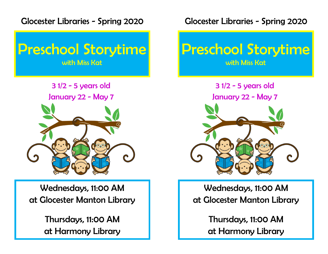Glocester Libraries - Spring 2020



3 1/2 - 5 years old January 22 - May 7

Wednesdays, 11:00 AM at Glocester Manton Library

> Thursdays, 11:00 AM at Harmony Library

Glocester Libraries - Spring 2020



3 1/2 - 5 years old January 22 - May 7



Wednesdays, 11:00 AM at Glocester Manton Library

> Thursdays, 11:00 AM at Harmony Library